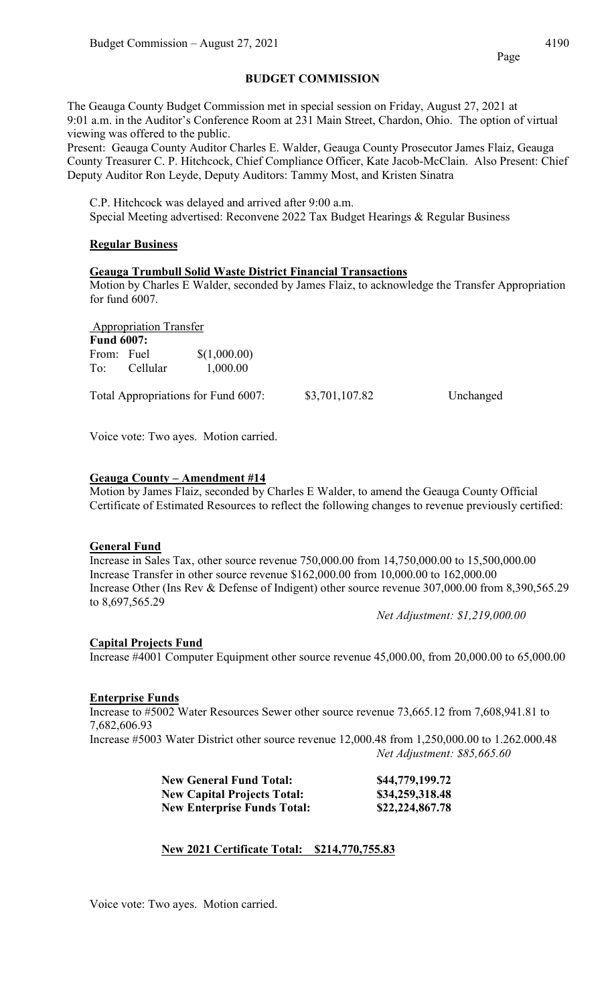## **BUDGET COMMISSION**

The Geauga County Budget Commission met in special session on Friday, August 27, 2021 at 9:01 a.m. in the Auditor's Conference Room at 231 Main Street, Chardon, Ohio. The option of virtual viewing was offered to the public.

Present: Geauga County Auditor Charles E. Walder, Geauga County Prosecutor James Flaiz, Geauga County Treasurer C. P. Hitchcock, Chief Compliance Officer, Kate Jacob-McClain. Also Present: Chief Deputy Auditor Ron Leyde, Deputy Auditors: Tammy Most, and Kristen Sinatra

C.P. Hitchcock was delayed and arrived after 9:00 a.m. Special Meeting advertised: Reconvene 2022 Tax Budget Hearings & Regular Business

## **Regular Business**

### **Geauga Trumbull Solid Waste District Financial Transactions**

Motion by Charles E Walder, seconded by James Flaiz, to acknowledge the Transfer Appropriation for fund 6007.

Appropriation Transfer **Fund 6007:**  From: Fuel \$(1,000.00) To: Cellular 1,000.00

Total Appropriations for Fund 6007: \$3,701,107.82 Unchanged

Voice vote: Two ayes. Motion carried.

### **Geauga County – Amendment #14**

Motion by James Flaiz, seconded by Charles E Walder, to amend the Geauga County Official Certificate of Estimated Resources to reflect the following changes to revenue previously certified:

### **General Fund**

Increase in Sales Tax, other source revenue 750,000.00 from 14,750,000.00 to 15,500,000.00 Increase Transfer in other source revenue \$162,000.00 from 10,000.00 to 162,000.00 Increase Other (Ins Rev & Defense of Indigent) other source revenue 307,000.00 from 8,390,565.29 to 8,697,565.29

*Net Adjustment: \$1,219,000.00*

### **Capital Projects Fund**

Increase #4001 Computer Equipment other source revenue 45,000.00, from 20,000.00 to 65,000.00

### **Enterprise Funds**

Increase to #5002 Water Resources Sewer other source revenue 73,665.12 from 7,608,941.81 to 7,682,606.93

Increase #5003 Water District other source revenue 12,000.48 from 1,250,000.00 to 1.262.000.48 *Net Adjustment: \$85,665.60*

| <b>New General Fund Total:</b>     | \$44,779,199.72 |
|------------------------------------|-----------------|
| <b>New Capital Projects Total:</b> | \$34,259,318.48 |
| <b>New Enterprise Funds Total:</b> | \$22,224,867.78 |

## **New 2021 Certificate Total: \$214,770,755.83**

Voice vote: Two ayes. Motion carried.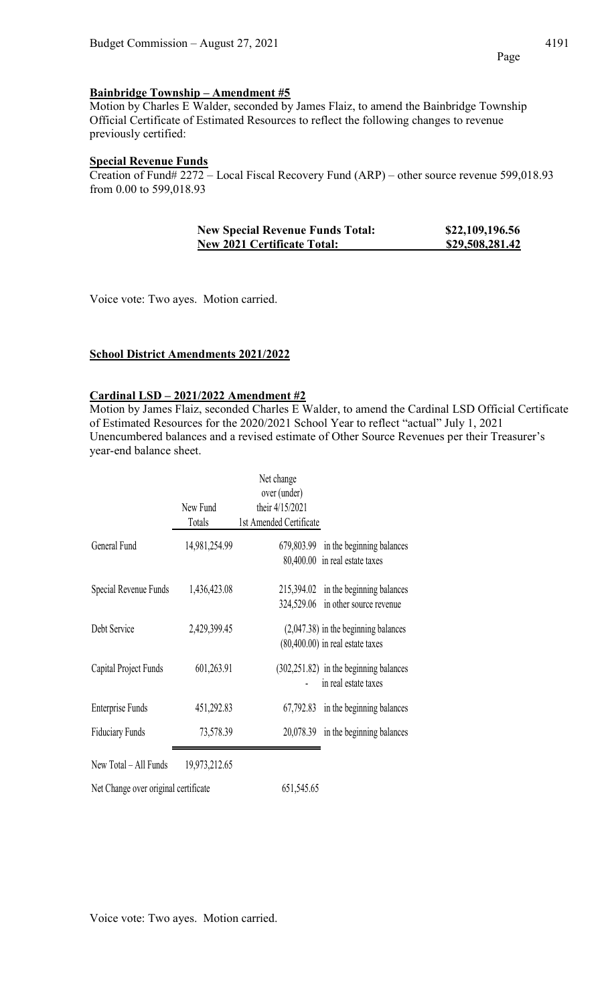Motion by Charles E Walder, seconded by James Flaiz, to amend the Bainbridge Township Official Certificate of Estimated Resources to reflect the following changes to revenue previously certified:

## **Special Revenue Funds**

Creation of Fund# 2272 – Local Fiscal Recovery Fund (ARP) – other source revenue 599,018.93 from 0.00 to 599,018.93

| <b>New Special Revenue Funds Total:</b> | \$22,109,196.56 |
|-----------------------------------------|-----------------|
| <b>New 2021 Certificate Total:</b>      | \$29,508,281.42 |

Voice vote: Two ayes. Motion carried.

#### **School District Amendments 2021/2022**

## **Cardinal LSD – 2021/2022 Amendment #2**

Motion by James Flaiz, seconded Charles E Walder, to amend the Cardinal LSD Official Certificate of Estimated Resources for the 2020/2021 School Year to reflect "actual" July 1, 2021 Unencumbered balances and a revised estimate of Other Source Revenues per their Treasurer's year-end balance sheet.

|                                      |                    | Net change<br>over (under)                 |                                                                              |
|--------------------------------------|--------------------|--------------------------------------------|------------------------------------------------------------------------------|
|                                      | New Fund<br>Totals | their 4/15/2021<br>1st Amended Certificate |                                                                              |
| General Fund                         | 14,981,254.99      |                                            | 679,803.99 in the beginning balances<br>80,400.00 in real estate taxes       |
| Special Revenue Funds                | 1,436,423.08       |                                            | 215,394.02 in the beginning balances<br>324,529.06 in other source revenue   |
| Debt Service                         | 2,429,399.45       |                                            | $(2,047.38)$ in the beginning balances<br>$(80,400.00)$ in real estate taxes |
| Capital Project Funds                | 601,263.91         |                                            | (302,251.82) in the beginning balances<br>in real estate taxes               |
| <b>Enterprise Funds</b>              | 451,292.83         | 67,792.83                                  | in the beginning balances                                                    |
| <b>Fiduciary Funds</b>               | 73,578.39          |                                            | $20,078.39$ in the beginning balances                                        |
| New Total - All Funds                | 19,973,212.65      |                                            |                                                                              |
| Net Change over original certificate |                    | 651,545.65                                 |                                                                              |

Voice vote: Two ayes. Motion carried.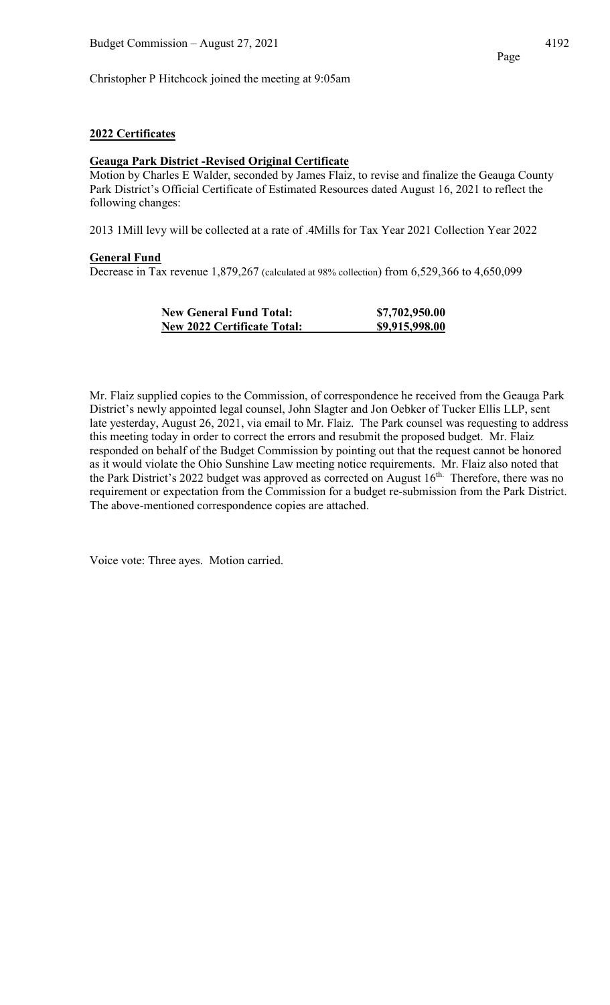Christopher P Hitchcock joined the meeting at 9:05am

## **2022 Certificates**

## **Geauga Park District -Revised Original Certificate**

Motion by Charles E Walder, seconded by James Flaiz, to revise and finalize the Geauga County Park District's Official Certificate of Estimated Resources dated August 16, 2021 to reflect the following changes:

2013 1Mill levy will be collected at a rate of .4Mills for Tax Year 2021 Collection Year 2022

### **General Fund**

Decrease in Tax revenue 1,879,267 (calculated at 98% collection) from 6,529,366 to 4,650,099

| <b>New General Fund Total:</b>     | \$7,702,950.00 |
|------------------------------------|----------------|
| <b>New 2022 Certificate Total:</b> | \$9,915,998.00 |

Mr. Flaiz supplied copies to the Commission, of correspondence he received from the Geauga Park District's newly appointed legal counsel, John Slagter and Jon Oebker of Tucker Ellis LLP, sent late yesterday, August 26, 2021, via email to Mr. Flaiz. The Park counsel was requesting to address this meeting today in order to correct the errors and resubmit the proposed budget. Mr. Flaiz responded on behalf of the Budget Commission by pointing out that the request cannot be honored as it would violate the Ohio Sunshine Law meeting notice requirements. Mr. Flaiz also noted that the Park District's 2022 budget was approved as corrected on August 16<sup>th.</sup> Therefore, there was no requirement or expectation from the Commission for a budget re-submission from the Park District. The above-mentioned correspondence copies are attached.

Voice vote: Three ayes. Motion carried.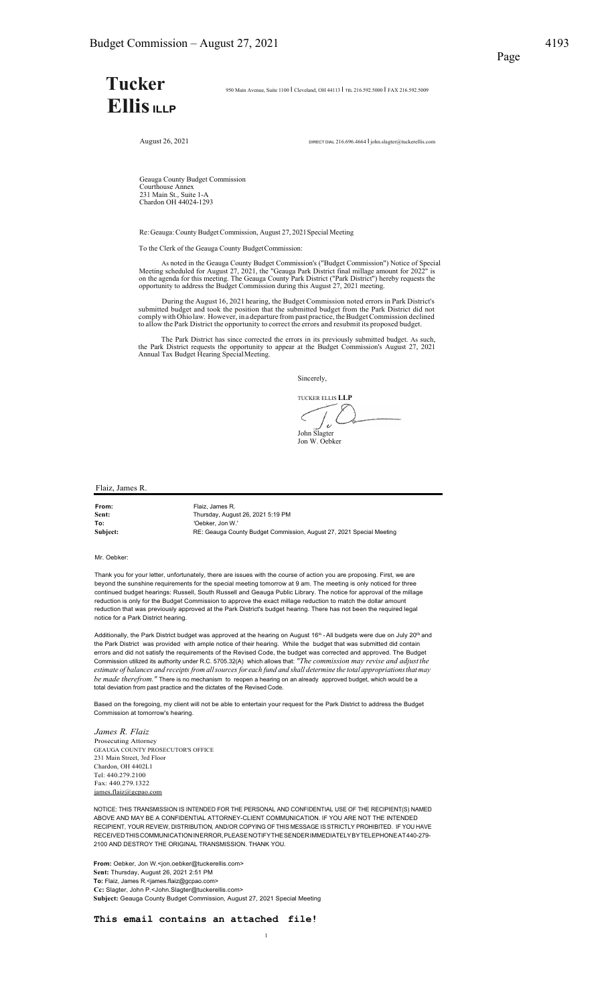# **Tucker· EllisILLP**

950 Main Avenue, Suite 1100 I Cleveland, OH 44113 I TEL 216.592.5000 I FAX 216.592.5009

August 26, 2021 DIRECT DIAL 216.696.4664 | john.slagter@tuckerellis.com

Geauga County Budget Commission Courthouse Annex 231 Main St., Suite 1-A Chardon OH 44024-1293

Re: Geauga:CountyBudgetCommission, August 27, 2021Special Meeting

To the Clerk of the Geauga County BudgetCommission:

As noted in the Geauga County Budget Commission's ("Budget Commission") Notice of Special<br>Meeting scheduled for August 27, 2021, the "Geauga Park District final millage amount for 2022" is<br>on the agenda for this meeting. T

During the August 16, 2021 hearing, the Budget Commission noted errors in Park District's submitted budget and took the position that the submitted budget from the Park District did not<br>comply with Ohio law. However, in a departure from past practice, the Budget Commission declined<br>to allow the Park District th

The Park District has since corrected the errors in its previously submitted budget. As such, the Park District requests the opportunity to appear at the Budget Commission's August 27, 2021 Annual Tax Budget Hearing Specia

Sincerely,

TUCKER ELLIS **LLP**  $\int_{\boldsymbol{\nu}}\boldsymbol{\zeta}$ John Slagter Jon W. Oebker

Flaiz, James R.

| From:    | Flaiz. James R.                                                      |
|----------|----------------------------------------------------------------------|
| Sent:    | Thursday, August 26, 2021 5:19 PM                                    |
| To:      | 'Oebker. Jon W.'                                                     |
| Subject: | RE: Geauga County Budget Commission, August 27, 2021 Special Meeting |

Mr. Oebker:

Thank you for your letter, unfortunately, there are issues with the course of action you are proposing. First, we are beyond the sunshine requirements for the special meeting tomorrow at 9 am. The meeting is only noticed for three continued budget hearings: Russell, South Russell and Geauga Public Library. The notice for approval of the millage reduction is only for the Budget Commission to approve the exact millage reduction to match the dollar amount reduction that was previously approved at the Park District's budget hearing. There has not been the required legal notice for a Park District hearing.

Additionally, the Park District budget was approved at the hearing on August 16<sup>th</sup> • All budgets were due on July 20<sup>th</sup> and the Park District was provided with ample notice of their hearing. While the budget that was submitted did contain errors and did not satisfy the requirements of the Revised Code, the budget was corrected and approved. The Budget<br>Commission utilized its authority under R.C. 5705.32(A) which allows that: *"The commission may revise and* estimate of balances and receipts from all sources for each fund and shall determine the total appropriations that may *be made therefrom."* There is no mechanism to reopen a hearing on an already approved budget, which would be a total deviation from past practice and the dictates of the Revised Code.

Based on the foregoing, my client will not be able to entertain your request for the Park District to address the Budget Commission at tomorrow's hearing.

*James R. Flaiz* Prosecuting Attorney GEAUGA COUNTY PROSECUTOR'S OFFICE 231 Main Street, 3rd Floor Chardon, OH 4402L1 Tel: 440.279.2100 Fax: 440.279.1322 iames.flaiz@c

NOTICE: THIS TRANSMISSION IS INTENDED FOR THE PERSONAL AND CONFIDENTIAL USE OF THE RECIPIENT(S) NAMED ABOVE AND MAY BE A CONFIDENTIAL ATTORNEY-CLIENT COMMUNICATION. IF YOU ARE NOT THE INTENDED RECIPIENT, YOUR REVIEW, DISTRIBUTION, AND/OR COPYING OF THIS MESSAGE ISSTRICTLY PROHIBITED. IF YOU HAVE RECEIVEDTHISCOMMUNICATIONINERROR,PLEASENOTIFYTHESENDERIMMEDIATELYBYTELEPHONEAT440-279- 2100 AND DESTROY THE ORIGINAL TRANSMISSION. THANK YOU.

1

**From:** Oebker, Jon W.<jon.oebker@tuckerellis.com> **Sent:** Thursday, August 26, 2021 2:51 PM **To:** Flaiz, James R.<james.flaiz@gcpao.com> **Cc:** Slagter, John P.<John.Slagter@tuckerellis.com> **Subject:** Geauga County Budget Commission, August 27, 2021 Special Meeting

**This email contains an attached file!**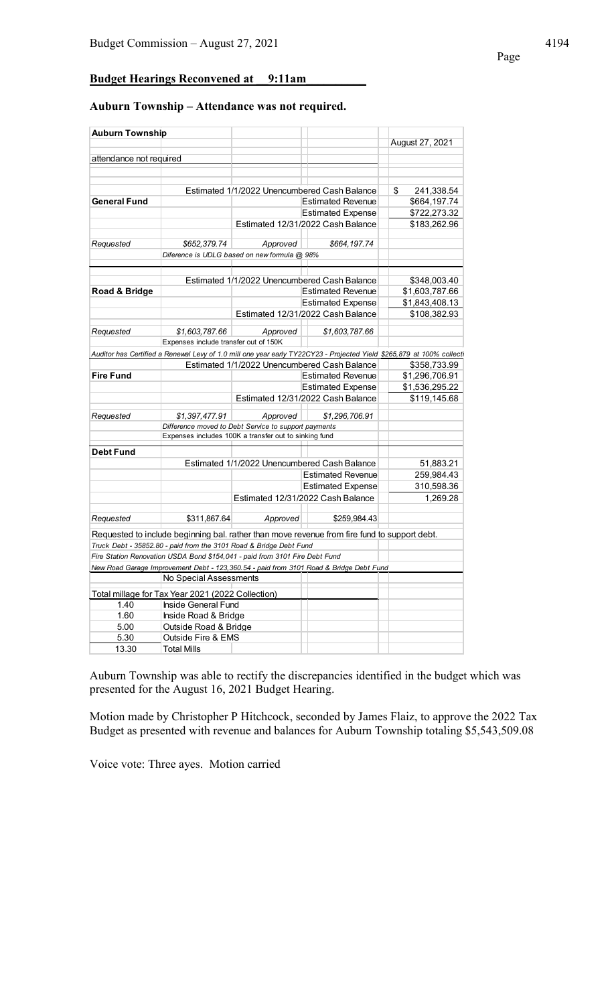**Budget Hearings Reconvened at \_\_9:11am\_\_\_\_\_\_\_\_\_\_**

#### **Auburn Township – Attendance was not required.**

| <b>Auburn Township</b>  |                                                                             |          |                                                                                              |                                                                                                                       |
|-------------------------|-----------------------------------------------------------------------------|----------|----------------------------------------------------------------------------------------------|-----------------------------------------------------------------------------------------------------------------------|
|                         |                                                                             |          |                                                                                              | August 27, 2021                                                                                                       |
|                         |                                                                             |          |                                                                                              |                                                                                                                       |
| attendance not required |                                                                             |          |                                                                                              |                                                                                                                       |
|                         |                                                                             |          |                                                                                              |                                                                                                                       |
|                         |                                                                             |          | Estimated 1/1/2022 Unencumbered Cash Balance                                                 | \$<br>241,338.54                                                                                                      |
| <b>General Fund</b>     |                                                                             |          | <b>Estimated Revenue</b>                                                                     | \$664,197.74                                                                                                          |
|                         |                                                                             |          | <b>Estimated Expense</b>                                                                     | \$722,273.32                                                                                                          |
|                         |                                                                             |          | Estimated 12/31/2022 Cash Balance                                                            | \$183,262.96                                                                                                          |
|                         |                                                                             |          |                                                                                              |                                                                                                                       |
| Requested               | \$652,379.74                                                                | Approved | \$664,197.74                                                                                 |                                                                                                                       |
|                         | Diference is UDLG based on new formula @ 98%                                |          |                                                                                              |                                                                                                                       |
|                         |                                                                             |          |                                                                                              |                                                                                                                       |
|                         |                                                                             |          | Estimated 1/1/2022 Unencumbered Cash Balance                                                 | \$348,003.40                                                                                                          |
| Road & Bridge           |                                                                             |          | <b>Estimated Revenue</b>                                                                     | \$1,603,787.66                                                                                                        |
|                         |                                                                             |          | <b>Estimated Expense</b>                                                                     | \$1,843,408.13                                                                                                        |
|                         |                                                                             |          | Estimated 12/31/2022 Cash Balance                                                            | \$108,382.93                                                                                                          |
|                         |                                                                             |          |                                                                                              |                                                                                                                       |
| Requested               | \$1,603,787.66                                                              | Approved | \$1,603,787.66                                                                               |                                                                                                                       |
|                         | Expenses include transfer out of 150K                                       |          |                                                                                              |                                                                                                                       |
|                         |                                                                             |          |                                                                                              | Auditor has Certified a Renewal Levy of 1.0 mill one year early TY22CY23 - Projected Yield \$265.879 at 100% collecti |
|                         |                                                                             |          | Estimated 1/1/2022 Unencumbered Cash Balance                                                 | \$358,733.99                                                                                                          |
| <b>Fire Fund</b>        |                                                                             |          | <b>Estimated Revenue</b>                                                                     | \$1,296,706.91                                                                                                        |
|                         |                                                                             |          | <b>Estimated Expense</b>                                                                     | \$1,536,295.22                                                                                                        |
|                         |                                                                             |          | Estimated 12/31/2022 Cash Balance                                                            | \$119,145.68                                                                                                          |
| Requested               | \$1,397,477.91                                                              | Approved | \$1,296,706.91                                                                               |                                                                                                                       |
|                         | Difference moved to Debt Service to support payments                        |          |                                                                                              |                                                                                                                       |
|                         | Expenses includes 100K a transfer out to sinking fund                       |          |                                                                                              |                                                                                                                       |
| <b>Debt Fund</b>        |                                                                             |          |                                                                                              |                                                                                                                       |
|                         |                                                                             |          | Estimated 1/1/2022 Unencumbered Cash Balance                                                 | 51,883.21                                                                                                             |
|                         |                                                                             |          | <b>Estimated Revenue</b>                                                                     | 259,984.43                                                                                                            |
|                         |                                                                             |          |                                                                                              |                                                                                                                       |
|                         |                                                                             |          | <b>Estimated Expense</b>                                                                     | 310,598.36                                                                                                            |
|                         |                                                                             |          | Estimated 12/31/2022 Cash Balance                                                            | 1,269.28                                                                                                              |
| Requested               | \$311,867.64                                                                | Approved | \$259,984.43                                                                                 |                                                                                                                       |
|                         |                                                                             |          | Requested to include beginning bal. rather than move revenue from fire fund to support debt. |                                                                                                                       |
|                         | Truck Debt - 35852.80 - paid from the 3101 Road & Bridge Debt Fund          |          |                                                                                              |                                                                                                                       |
|                         | Fire Station Renovation USDA Bond \$154,041 - paid from 3101 Fire Debt Fund |          |                                                                                              |                                                                                                                       |
|                         |                                                                             |          | New Road Garage Improvement Debt - 123,360.54 - paid from 3101 Road & Bridge Debt Fund       |                                                                                                                       |
|                         | No Special Assessments                                                      |          |                                                                                              |                                                                                                                       |
|                         |                                                                             |          |                                                                                              |                                                                                                                       |
|                         | Total millage for Tax Year 2021 (2022 Collection)                           |          |                                                                                              |                                                                                                                       |
| 1.40                    | Inside General Fund                                                         |          |                                                                                              |                                                                                                                       |
| 1.60                    | Inside Road & Bridge                                                        |          |                                                                                              |                                                                                                                       |
| 5.00                    | Outside Road & Bridge                                                       |          |                                                                                              |                                                                                                                       |
| 5.30                    | Outside Fire & EMS                                                          |          |                                                                                              |                                                                                                                       |
| 13.30                   | <b>Total Mills</b>                                                          |          |                                                                                              |                                                                                                                       |

Auburn Township was able to rectify the discrepancies identified in the budget which was presented for the August 16, 2021 Budget Hearing.

Motion made by Christopher P Hitchcock, seconded by James Flaiz, to approve the 2022 Tax Budget as presented with revenue and balances for Auburn Township totaling \$5,543,509.08

Voice vote: Three ayes. Motion carried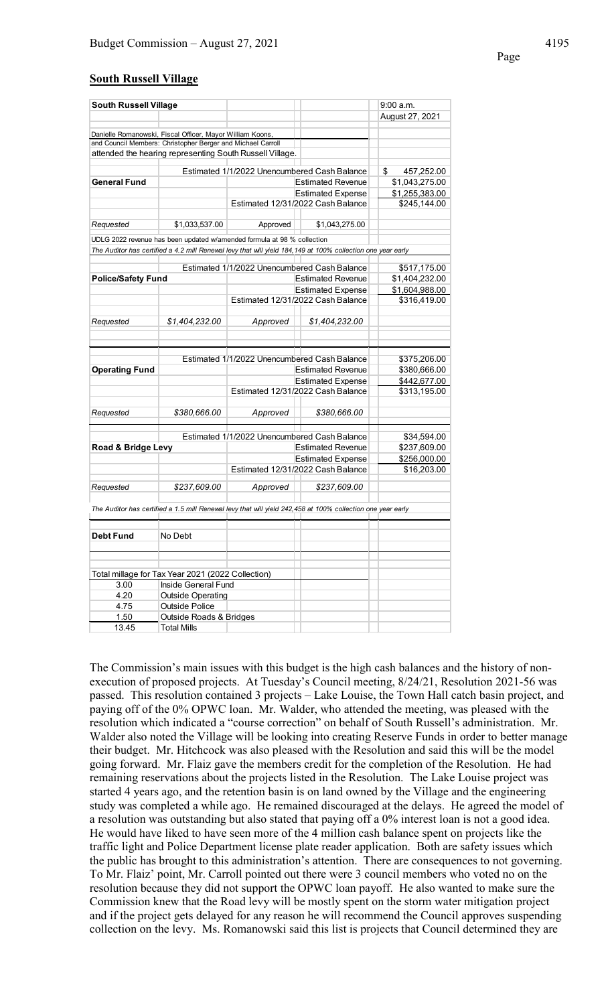#### **South Russell Village**

| <b>South Russell Village</b> |                                                                         |          |                                                                                                             | 9:00 a.m.        |
|------------------------------|-------------------------------------------------------------------------|----------|-------------------------------------------------------------------------------------------------------------|------------------|
|                              |                                                                         |          |                                                                                                             | August 27, 2021  |
|                              |                                                                         |          |                                                                                                             |                  |
|                              | Danielle Romanowski, Fiscal Officer, Mayor William Koons,               |          |                                                                                                             |                  |
|                              | and Council Members: Christopher Berger and Michael Carroll             |          |                                                                                                             |                  |
|                              | attended the hearing representing South Russell Village.                |          |                                                                                                             |                  |
|                              |                                                                         |          | Estimated 1/1/2022 Unencumbered Cash Balance                                                                | \$<br>457,252.00 |
| <b>General Fund</b>          |                                                                         |          | <b>Estimated Revenue</b>                                                                                    | \$1,043,275.00   |
|                              |                                                                         |          | <b>Estimated Expense</b>                                                                                    | \$1,255,383.00   |
|                              |                                                                         |          | Estimated 12/31/2022 Cash Balance                                                                           | \$245,144.00     |
|                              |                                                                         |          |                                                                                                             |                  |
| Requested                    | \$1.033.537.00                                                          | Approved | \$1,043,275.00                                                                                              |                  |
|                              | UDLG 2022 revenue has been updated w/amended formula at 98 % collection |          |                                                                                                             |                  |
|                              |                                                                         |          | The Auditor has certified a 4.2 mill Renewal levy that will yield 184,149 at 100% collection one year early |                  |
|                              |                                                                         |          |                                                                                                             |                  |
|                              |                                                                         |          | Estimated 1/1/2022 Unencumbered Cash Balance                                                                | \$517,175.00     |
| <b>Police/Safety Fund</b>    |                                                                         |          | <b>Estimated Revenue</b>                                                                                    | \$1,404,232.00   |
|                              |                                                                         |          | <b>Estimated Expense</b>                                                                                    | \$1,604,988.00   |
|                              |                                                                         |          | Estimated 12/31/2022 Cash Balance                                                                           | \$316,419.00     |
|                              |                                                                         |          |                                                                                                             |                  |
| Requested                    | \$1,404,232.00                                                          | Approved | \$1,404.232.00                                                                                              |                  |
|                              |                                                                         |          |                                                                                                             |                  |
|                              |                                                                         |          |                                                                                                             |                  |
|                              |                                                                         |          | Estimated 1/1/2022 Unencumbered Cash Balance                                                                | \$375,206.00     |
| <b>Operating Fund</b>        |                                                                         |          | <b>Estimated Revenue</b>                                                                                    | \$380,666.00     |
|                              |                                                                         |          | <b>Estimated Expense</b>                                                                                    | \$442,677.00     |
|                              |                                                                         |          | Estimated 12/31/2022 Cash Balance                                                                           | \$313,195.00     |
|                              |                                                                         |          |                                                                                                             |                  |
| Requested                    | \$380,666.00                                                            | Approved | \$380,666.00                                                                                                |                  |
|                              |                                                                         |          |                                                                                                             |                  |
|                              |                                                                         |          | Estimated 1/1/2022 Unencumbered Cash Balance                                                                | \$34,594.00      |
| Road & Bridge Levy           |                                                                         |          | <b>Estimated Revenue</b>                                                                                    | \$237,609.00     |
|                              |                                                                         |          | <b>Estimated Expense</b>                                                                                    | \$256,000.00     |
|                              |                                                                         |          | Estimated 12/31/2022 Cash Balance                                                                           | \$16,203.00      |
|                              |                                                                         |          |                                                                                                             |                  |
| Requested                    | \$237,609.00                                                            | Approved | \$237,609.00                                                                                                |                  |
|                              |                                                                         |          |                                                                                                             |                  |
|                              |                                                                         |          | The Auditor has certified a 1.5 mill Renewal levy that will yield 242,458 at 100% collection one year early |                  |
|                              |                                                                         |          |                                                                                                             |                  |
| <b>Debt Fund</b>             | No Debt                                                                 |          |                                                                                                             |                  |
|                              |                                                                         |          |                                                                                                             |                  |
|                              |                                                                         |          |                                                                                                             |                  |
|                              |                                                                         |          |                                                                                                             |                  |
|                              | Total millage for Tax Year 2021 (2022 Collection)                       |          |                                                                                                             |                  |
| 3.00                         | Inside General Fund                                                     |          |                                                                                                             |                  |
| 4.20                         | <b>Outside Operating</b>                                                |          |                                                                                                             |                  |
| 4.75                         | <b>Outside Police</b>                                                   |          |                                                                                                             |                  |
| 1.50                         | Outside Roads & Bridges                                                 |          |                                                                                                             |                  |
| 13.45                        | Total Mills                                                             |          |                                                                                                             |                  |

The Commission's main issues with this budget is the high cash balances and the history of nonexecution of proposed projects. At Tuesday's Council meeting, 8/24/21, Resolution 2021-56 was passed. This resolution contained 3 projects – Lake Louise, the Town Hall catch basin project, and paying off of the 0% OPWC loan. Mr. Walder, who attended the meeting, was pleased with the resolution which indicated a "course correction" on behalf of South Russell's administration. Mr. Walder also noted the Village will be looking into creating Reserve Funds in order to better manage their budget. Mr. Hitchcock was also pleased with the Resolution and said this will be the model going forward. Mr. Flaiz gave the members credit for the completion of the Resolution. He had remaining reservations about the projects listed in the Resolution. The Lake Louise project was started 4 years ago, and the retention basin is on land owned by the Village and the engineering study was completed a while ago. He remained discouraged at the delays. He agreed the model of a resolution was outstanding but also stated that paying off a 0% interest loan is not a good idea. He would have liked to have seen more of the 4 million cash balance spent on projects like the traffic light and Police Department license plate reader application. Both are safety issues which the public has brought to this administration's attention. There are consequences to not governing. To Mr. Flaiz' point, Mr. Carroll pointed out there were 3 council members who voted no on the resolution because they did not support the OPWC loan payoff. He also wanted to make sure the Commission knew that the Road levy will be mostly spent on the storm water mitigation project and if the project gets delayed for any reason he will recommend the Council approves suspending collection on the levy. Ms. Romanowski said this list is projects that Council determined they are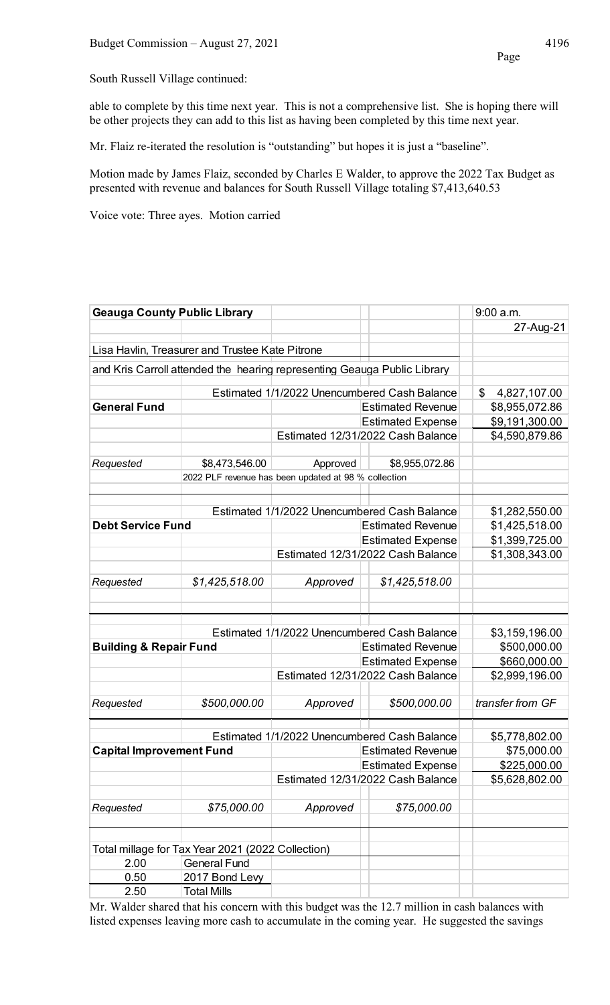South Russell Village continued:

able to complete by this time next year. This is not a comprehensive list. She is hoping there will be other projects they can add to this list as having been completed by this time next year.

Mr. Flaiz re-iterated the resolution is "outstanding" but hopes it is just a "baseline".

Motion made by James Flaiz, seconded by Charles E Walder, to approve the 2022 Tax Budget as presented with revenue and balances for South Russell Village totaling \$7,413,640.53

Voice vote: Three ayes. Motion carried

| <b>Geauga County Public Library</b> |                                                   |                                                                          |                                                               | $9:00$ a.m.                      |
|-------------------------------------|---------------------------------------------------|--------------------------------------------------------------------------|---------------------------------------------------------------|----------------------------------|
|                                     |                                                   |                                                                          |                                                               | 27-Aug-21                        |
|                                     |                                                   |                                                                          |                                                               |                                  |
|                                     | Lisa Havlin, Treasurer and Trustee Kate Pitrone   |                                                                          |                                                               |                                  |
|                                     |                                                   | and Kris Carroll attended the hearing representing Geauga Public Library |                                                               |                                  |
|                                     |                                                   |                                                                          | Estimated 1/1/2022 Unencumbered Cash Balance                  | \$<br>4,827,107.00               |
| <b>General Fund</b>                 |                                                   |                                                                          | <b>Estimated Revenue</b>                                      | \$8,955,072.86                   |
|                                     |                                                   |                                                                          | <b>Estimated Expense</b>                                      | \$9,191,300.00                   |
|                                     |                                                   |                                                                          | Estimated 12/31/2022 Cash Balance                             | \$4,590,879.86                   |
| Requested                           | \$8,473,546.00                                    | Approved                                                                 | \$8,955,072.86                                                |                                  |
|                                     |                                                   | 2022 PLF revenue has been updated at 98 % collection                     |                                                               |                                  |
|                                     |                                                   |                                                                          |                                                               |                                  |
|                                     |                                                   |                                                                          | Estimated 1/1/2022 Unencumbered Cash Balance                  |                                  |
| <b>Debt Service Fund</b>            |                                                   |                                                                          | <b>Estimated Revenue</b>                                      | \$1,282,550.00<br>\$1,425,518.00 |
|                                     |                                                   |                                                                          |                                                               |                                  |
|                                     |                                                   |                                                                          | <b>Estimated Expense</b><br>Estimated 12/31/2022 Cash Balance | \$1,399,725.00<br>\$1,308,343.00 |
|                                     |                                                   |                                                                          |                                                               |                                  |
| Requested                           | \$1,425,518.00                                    | Approved                                                                 | \$1,425,518.00                                                |                                  |
|                                     |                                                   |                                                                          |                                                               |                                  |
|                                     |                                                   |                                                                          |                                                               |                                  |
|                                     |                                                   |                                                                          |                                                               |                                  |
|                                     |                                                   |                                                                          | Estimated 1/1/2022 Unencumbered Cash Balance                  | \$3,159,196.00                   |
| <b>Building &amp; Repair Fund</b>   |                                                   |                                                                          | <b>Estimated Revenue</b>                                      | \$500,000.00                     |
|                                     |                                                   |                                                                          | <b>Estimated Expense</b>                                      | \$660,000.00                     |
|                                     |                                                   |                                                                          | Estimated 12/31/2022 Cash Balance                             | \$2,999,196.00                   |
|                                     |                                                   |                                                                          |                                                               |                                  |
| Requested                           | \$500,000.00                                      | Approved                                                                 | \$500,000.00                                                  | transfer from GF                 |
|                                     |                                                   |                                                                          |                                                               |                                  |
|                                     |                                                   |                                                                          | Estimated 1/1/2022 Unencumbered Cash Balance                  | \$5,778,802.00                   |
| <b>Capital Improvement Fund</b>     |                                                   |                                                                          | <b>Estimated Revenue</b>                                      | \$75,000.00                      |
|                                     |                                                   |                                                                          | <b>Estimated Expense</b>                                      | \$225,000.00                     |
|                                     |                                                   |                                                                          | Estimated 12/31/2022 Cash Balance                             | \$5,628,802.00                   |
|                                     |                                                   |                                                                          |                                                               |                                  |
| Requested                           | \$75,000.00                                       | Approved                                                                 | \$75,000.00                                                   |                                  |
|                                     |                                                   |                                                                          |                                                               |                                  |
|                                     | Total millage for Tax Year 2021 (2022 Collection) |                                                                          |                                                               |                                  |
| 2.00                                | <b>General Fund</b>                               |                                                                          |                                                               |                                  |
| 0.50                                | 2017 Bond Levy                                    |                                                                          |                                                               |                                  |
| 2.50                                | <b>Total Mills</b>                                |                                                                          |                                                               |                                  |

Mr. Walder shared that his concern with this budget was the 12.7 million in cash balances with listed expenses leaving more cash to accumulate in the coming year. He suggested the savings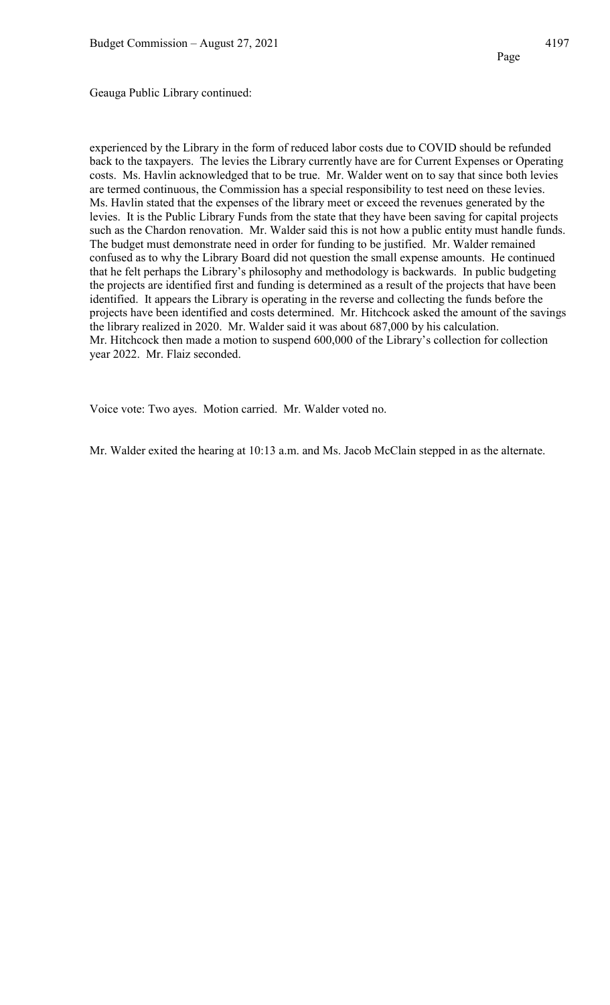Geauga Public Library continued:

experienced by the Library in the form of reduced labor costs due to COVID should be refunded back to the taxpayers. The levies the Library currently have are for Current Expenses or Operating costs. Ms. Havlin acknowledged that to be true. Mr. Walder went on to say that since both levies are termed continuous, the Commission has a special responsibility to test need on these levies. Ms. Havlin stated that the expenses of the library meet or exceed the revenues generated by the levies. It is the Public Library Funds from the state that they have been saving for capital projects such as the Chardon renovation. Mr. Walder said this is not how a public entity must handle funds. The budget must demonstrate need in order for funding to be justified. Mr. Walder remained confused as to why the Library Board did not question the small expense amounts. He continued that he felt perhaps the Library's philosophy and methodology is backwards. In public budgeting the projects are identified first and funding is determined as a result of the projects that have been identified. It appears the Library is operating in the reverse and collecting the funds before the projects have been identified and costs determined. Mr. Hitchcock asked the amount of the savings the library realized in 2020. Mr. Walder said it was about 687,000 by his calculation. Mr. Hitchcock then made a motion to suspend 600,000 of the Library's collection for collection year 2022. Mr. Flaiz seconded.

Voice vote: Two ayes. Motion carried. Mr. Walder voted no.

Mr. Walder exited the hearing at 10:13 a.m. and Ms. Jacob McClain stepped in as the alternate.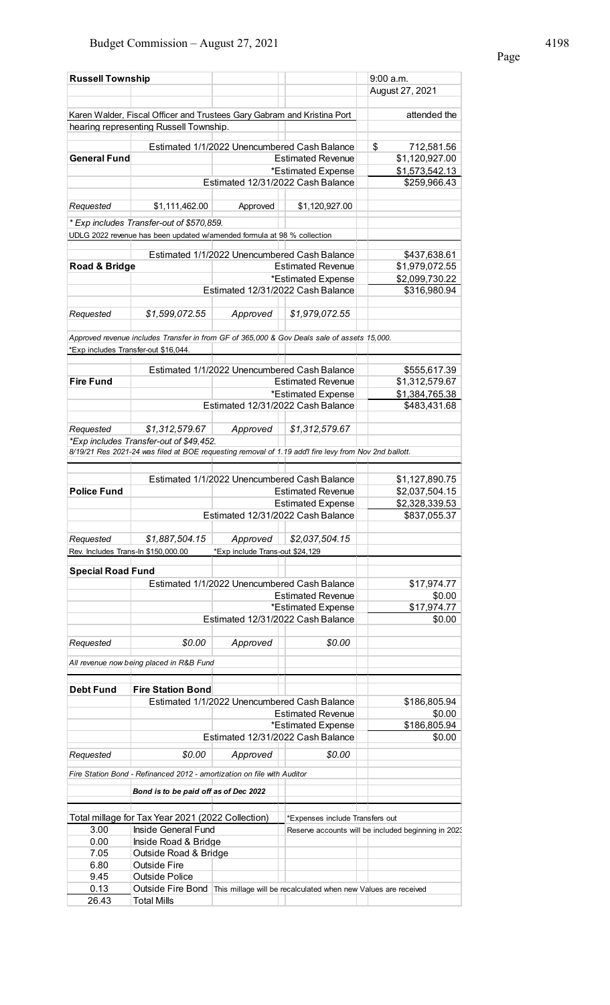| Page |  |
|------|--|
|      |  |

| <b>Russell Township</b>              |                                                                                                       |                                 |                                                                | 9:00 a.m.                                           |
|--------------------------------------|-------------------------------------------------------------------------------------------------------|---------------------------------|----------------------------------------------------------------|-----------------------------------------------------|
|                                      |                                                                                                       |                                 |                                                                | August 27, 2021                                     |
|                                      | Karen Walder, Fiscal Officer and Trustees Gary Gabram and Kristina Port                               |                                 |                                                                | attended the                                        |
|                                      | hearing representing Russell Township.                                                                |                                 |                                                                |                                                     |
|                                      |                                                                                                       |                                 |                                                                |                                                     |
|                                      |                                                                                                       |                                 | Estimated 1/1/2022 Unencumbered Cash Balance                   | \$<br>712,581.56                                    |
| <b>General Fund</b>                  |                                                                                                       |                                 | <b>Estimated Revenue</b>                                       | \$1,120,927.00                                      |
|                                      |                                                                                                       |                                 | *Estimated Expense                                             | \$1,573,542.13                                      |
|                                      |                                                                                                       |                                 | Estimated 12/31/2022 Cash Balance                              | \$259,966.43                                        |
| Requested                            | \$1,111,462.00                                                                                        | Approved                        | \$1,120,927.00                                                 |                                                     |
|                                      | * Exp includes Transfer-out of \$570,859.                                                             |                                 |                                                                |                                                     |
|                                      | UDLG 2022 revenue has been updated w/amended formula at 98 % collection                               |                                 |                                                                |                                                     |
|                                      |                                                                                                       |                                 | Estimated 1/1/2022 Unencumbered Cash Balance                   | \$437,638.61                                        |
| Road & Bridge                        |                                                                                                       |                                 | <b>Estimated Revenue</b>                                       | \$1,979,072.55                                      |
|                                      |                                                                                                       |                                 | *Estimated Expense                                             | \$2,099,730.22                                      |
|                                      |                                                                                                       |                                 | Estimated 12/31/2022 Cash Balance                              | \$316,980.94                                        |
|                                      |                                                                                                       |                                 |                                                                |                                                     |
| Requested                            | \$1,599,072.55                                                                                        | Approved                        | \$1,979,072.55                                                 |                                                     |
|                                      | Approved revenue includes Transfer in from GF of 365,000 & Gov Deals sale of assets 15,000.           |                                 |                                                                |                                                     |
| *Exp includes Transfer-out \$16,044. |                                                                                                       |                                 |                                                                |                                                     |
|                                      |                                                                                                       |                                 |                                                                |                                                     |
|                                      |                                                                                                       |                                 | Estimated 1/1/2022 Unencumbered Cash Balance                   | \$555,617.39                                        |
| <b>Fire Fund</b>                     |                                                                                                       |                                 | <b>Estimated Revenue</b>                                       | \$1,312,579.67                                      |
|                                      |                                                                                                       |                                 | *Estimated Expense                                             | \$1,384,765.38                                      |
|                                      |                                                                                                       |                                 | Estimated 12/31/2022 Cash Balance                              | \$483,431.68                                        |
|                                      |                                                                                                       |                                 |                                                                |                                                     |
| Requested                            | \$1,312,579.67<br>*Exp includes Transfer-out of \$49,452.                                             | Approved                        | \$1,312,579.67                                                 |                                                     |
|                                      | 8/19/21 Res 2021-24 was filed at BOE requesting removal of 1.19 add'l fire levy from Nov 2nd ballott. |                                 |                                                                |                                                     |
|                                      |                                                                                                       |                                 |                                                                |                                                     |
|                                      |                                                                                                       |                                 | Estimated 1/1/2022 Unencumbered Cash Balance                   | \$1,127,890.75                                      |
| <b>Police Fund</b>                   |                                                                                                       |                                 | <b>Estimated Revenue</b>                                       | \$2,037,504.15                                      |
|                                      |                                                                                                       |                                 | <b>Estimated Expense</b>                                       | \$2,328,339.53                                      |
|                                      |                                                                                                       |                                 | Estimated 12/31/2022 Cash Balance                              | \$837,055.37                                        |
|                                      |                                                                                                       |                                 |                                                                |                                                     |
| Requested                            | \$1,887,504.15                                                                                        | Approved                        | \$2,037,504.15                                                 |                                                     |
| Rev. Includes Trans-In \$150,000.00  |                                                                                                       | *Exp include Trans-out \$24,129 |                                                                |                                                     |
| <b>Special Road Fund</b>             |                                                                                                       |                                 |                                                                |                                                     |
|                                      |                                                                                                       |                                 | Estimated 1/1/2022 Unencumbered Cash Balance                   | \$17,974.77                                         |
|                                      |                                                                                                       |                                 | <b>Estimated Revenue</b>                                       | \$0.00                                              |
|                                      |                                                                                                       |                                 | *Estimated Expense                                             | \$17,974.77                                         |
|                                      |                                                                                                       |                                 | Estimated 12/31/2022 Cash Balance                              | \$0.00                                              |
|                                      |                                                                                                       |                                 |                                                                |                                                     |
| Requested                            | \$0.00                                                                                                | Approved                        | \$0.00                                                         |                                                     |
|                                      | All revenue now being placed in R&B Fund                                                              |                                 |                                                                |                                                     |
|                                      |                                                                                                       |                                 |                                                                |                                                     |
| <b>Debt Fund</b>                     | <b>Fire Station Bond</b>                                                                              |                                 |                                                                |                                                     |
|                                      |                                                                                                       |                                 | Estimated 1/1/2022 Unencumbered Cash Balance                   | \$186,805.94                                        |
|                                      |                                                                                                       |                                 | <b>Estimated Revenue</b>                                       | \$0.00                                              |
|                                      |                                                                                                       |                                 | *Estimated Expense                                             | \$186,805.94                                        |
|                                      |                                                                                                       |                                 | Estimated 12/31/2022 Cash Balance                              | \$0.00                                              |
| Requested                            | \$0.00                                                                                                | Approved                        | \$0.00                                                         |                                                     |
|                                      | Fire Station Bond - Refinanced 2012 - amortization on file with Auditor                               |                                 |                                                                |                                                     |
|                                      |                                                                                                       |                                 |                                                                |                                                     |
|                                      | Bond is to be paid off as of Dec 2022                                                                 |                                 |                                                                |                                                     |
|                                      |                                                                                                       |                                 |                                                                |                                                     |
|                                      | Total millage for Tax Year 2021 (2022 Collection)                                                     |                                 | *Expenses include Transfers out                                |                                                     |
| 3.00                                 | Inside General Fund<br>Inside Road & Bridge                                                           |                                 |                                                                | Reserve accounts will be included beginning in 2023 |
| 0.00<br>7.05                         | Outside Road & Bridge                                                                                 |                                 |                                                                |                                                     |
| 6.80                                 | <b>Outside Fire</b>                                                                                   |                                 |                                                                |                                                     |
| 9.45                                 | Outside Police                                                                                        |                                 |                                                                |                                                     |
| 0.13                                 | Outside Fire Bond                                                                                     |                                 | This millage will be recalculated when new Values are received |                                                     |
| 26.43                                | <b>Total Mills</b>                                                                                    |                                 |                                                                |                                                     |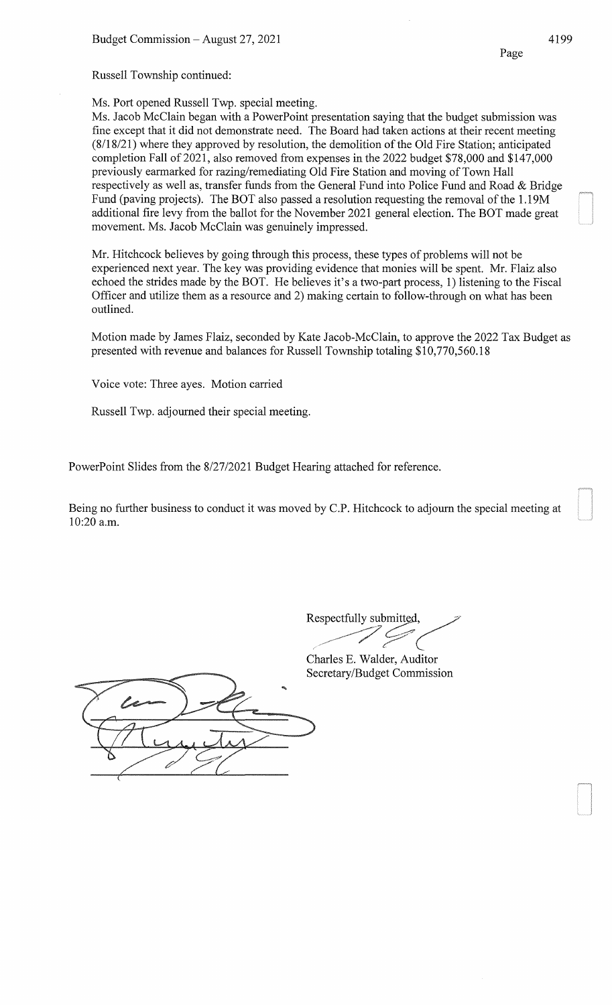Russell Township continued:

Ms. Port opened Russell Twp. special meeting.

Ms. Jacob McClain began with a PowerPoint presentation saying that the budget submission was fine except that it did not demonstrate need. The Board had taken actions at their recent meeting (8118/21) where they approved by resolution, the demolition of the Old Fire Station; anticipated completion Fall of 2021, also removed from expenses in the 2022 budget \$78,000 and \$147,000 previously earmarked for razing/remediating Old Fire Station and moving of Town Hall respectively as well as, transfer funds from the General Fund into Police Fund and Road & Bridge Fund (paving projects). The BOT also passed a resolution requesting the removal of the I. 19M additional fire levy from the ballot for the November 2021 general election. The BOT made great movement. Ms. Jacob McClain was genuinely impressed.

Mr. Hitchcock believes by going through this process, these types of problems will not be experienced next year. The key was providing evidence that monies will be spent. Mr. Flaiz also echoed the strides made by the BOT. He believes it's a two-part process, 1) listening to the Fiscal Officer and utilize them as a resource and 2) making certain to follow-through on what has been outlined.

Motion made by James Flaiz, seconded by Kate Jacob-McClain, to approve the 2022 Tax Budget as presented with revenue and balances for Russell Township totaling \$10,770,560.18

Voice vote: Three ayes. Motion carried

Russell Twp. adjourned their special meeting.

PowerPoint Slides from the 8/27/2021 Budget Hearing attached for reference.

Being no further business to conduct it was moved by C.P. Hitchcock to adjourn the special meeting at 10:20 a.m.

Respectfully submitted,

Charles E. Walder, Auditor Secretary/Budget Commission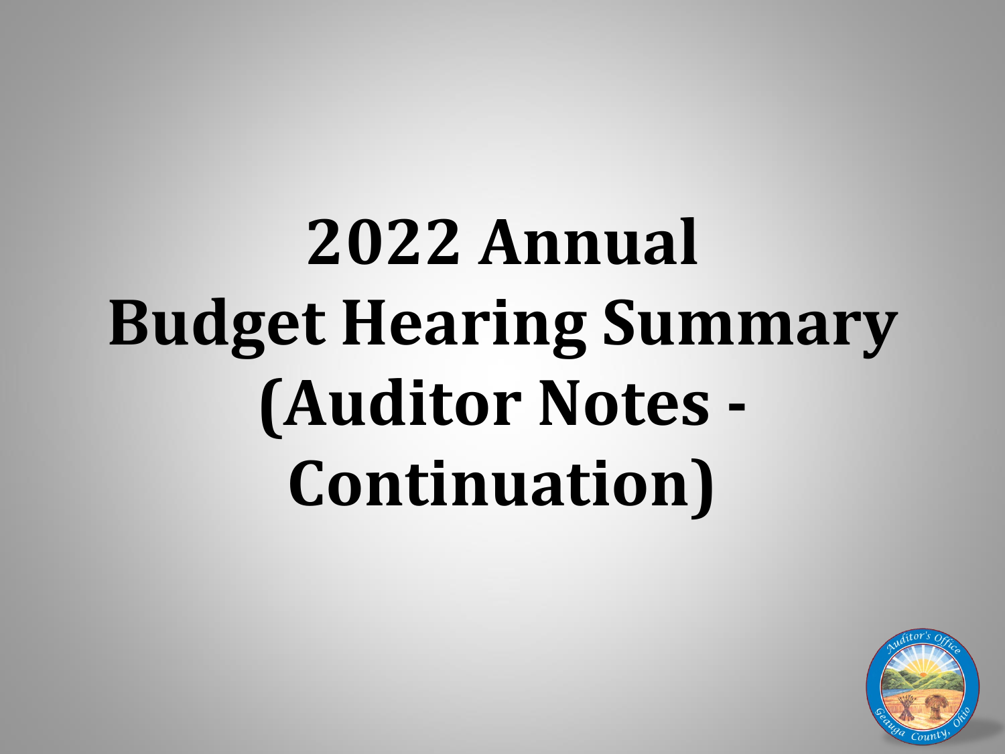# **2022 Annual Budget Hearing Summary (Auditor Notes - Continuation)**

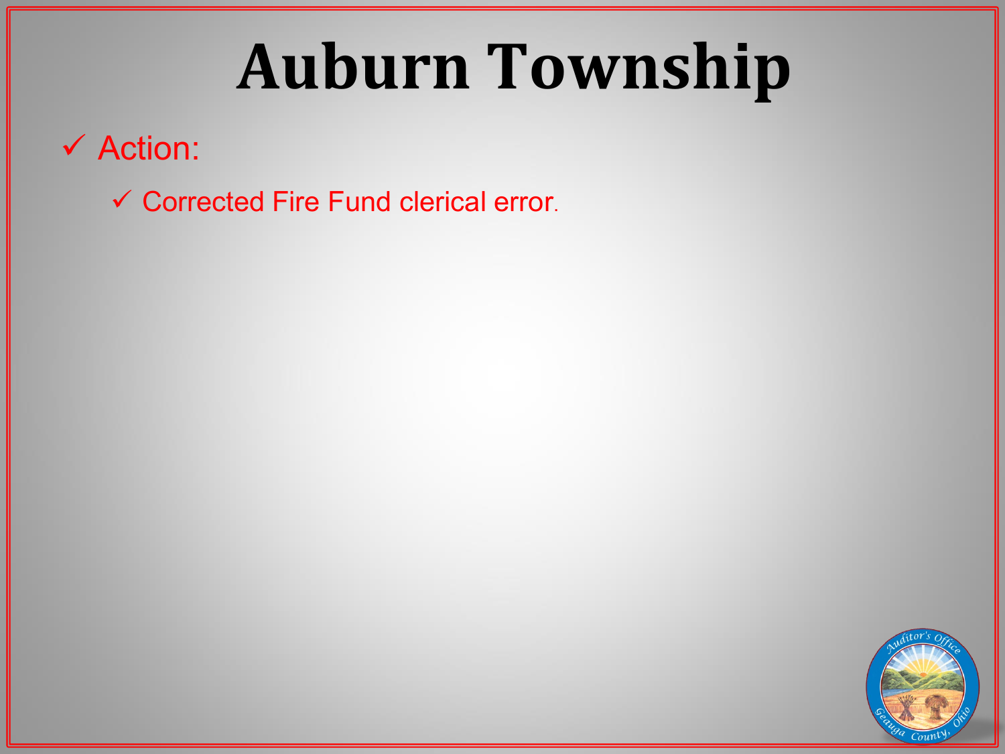# **Auburn Township**

 $\checkmark$  Action:

Corrected Fire Fund clerical error.

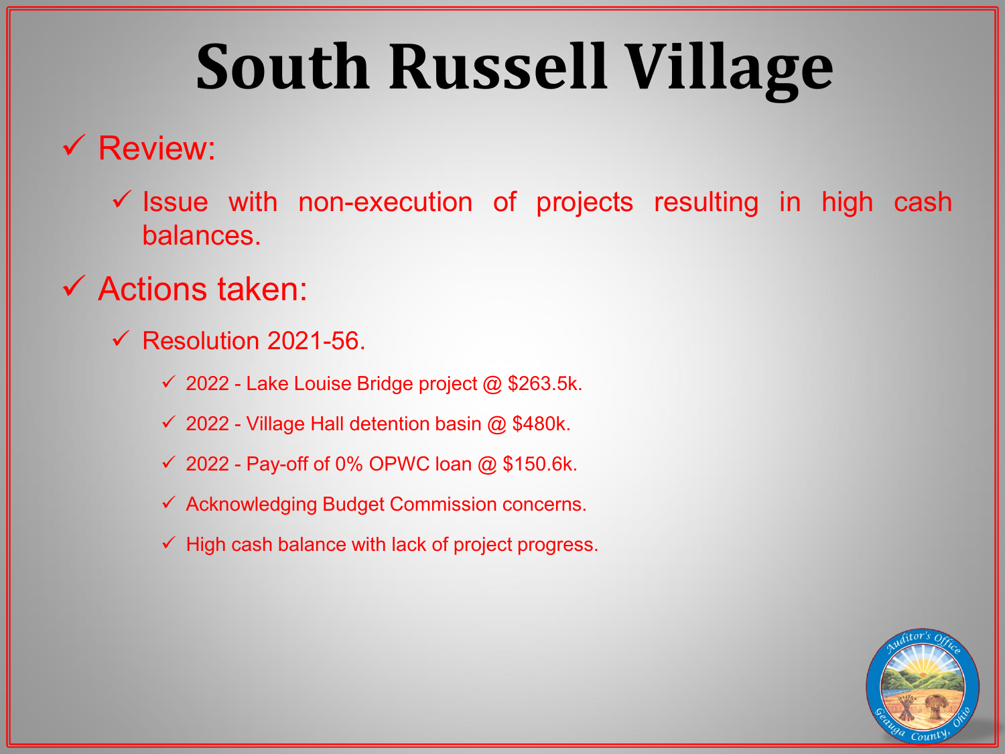# **South Russell Village**

# $\checkmark$  Review:

 $\checkmark$  Issue with non-execution of projects resulting in high cash balances.

# $\checkmark$  Actions taken:

- $\checkmark$  Resolution 2021-56.
	- $\checkmark$  2022 Lake Louise Bridge project @ \$263.5k.
	- $\checkmark$  2022 Village Hall detention basin @ \$480k.
	- $\checkmark$  2022 Pay-off of 0% OPWC loan @ \$150.6k.
	- $\checkmark$  Acknowledging Budget Commission concerns.
	- $\checkmark$  High cash balance with lack of project progress.

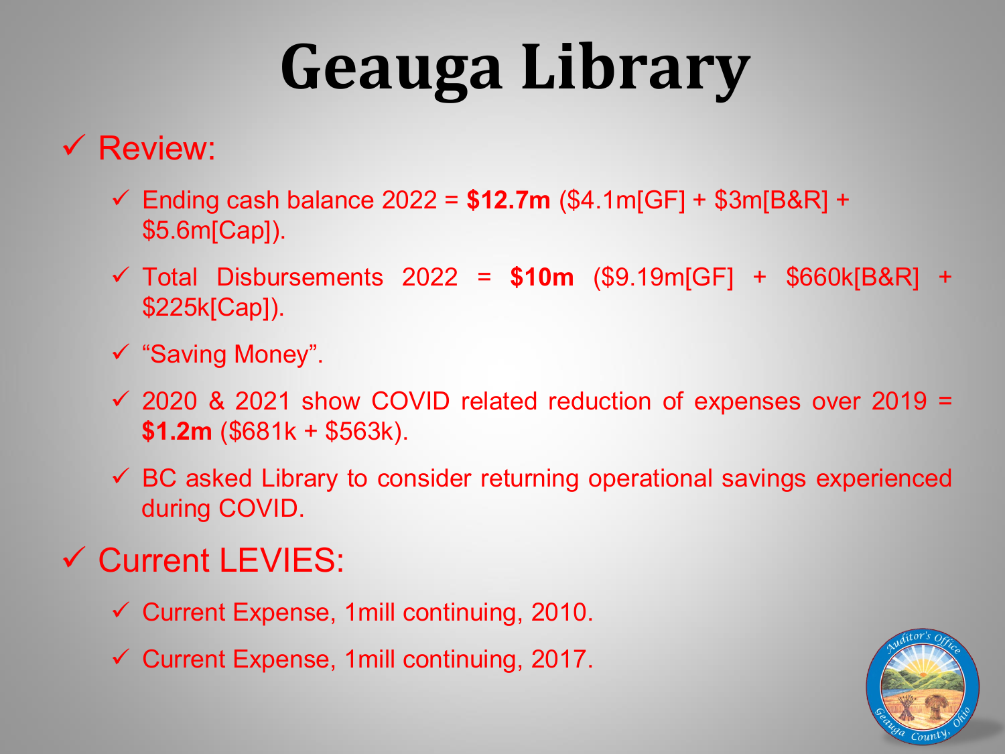# **Geauga Library**

# $\checkmark$  Review:

- Ending cash balance 2022 = **\$12.7m** (\$4.1m[GF] + \$3m[B&R] + \$5.6m[Cap]).
- Total Disbursements 2022 = **\$10m** (\$9.19m[GF] + \$660k[B&R] + \$225k[Cap]).
- "Saving Money".
- $\checkmark$  2020 & 2021 show COVID related reduction of expenses over 2019 = **\$1.2m** (\$681k + \$563k).
- BC asked Library to consider returning operational savings experienced during COVID.

# Current LEVIES:

- $\checkmark$  Current Expense, 1 mill continuing, 2010.
- $\checkmark$  Current Expense, 1 mill continuing, 2017.

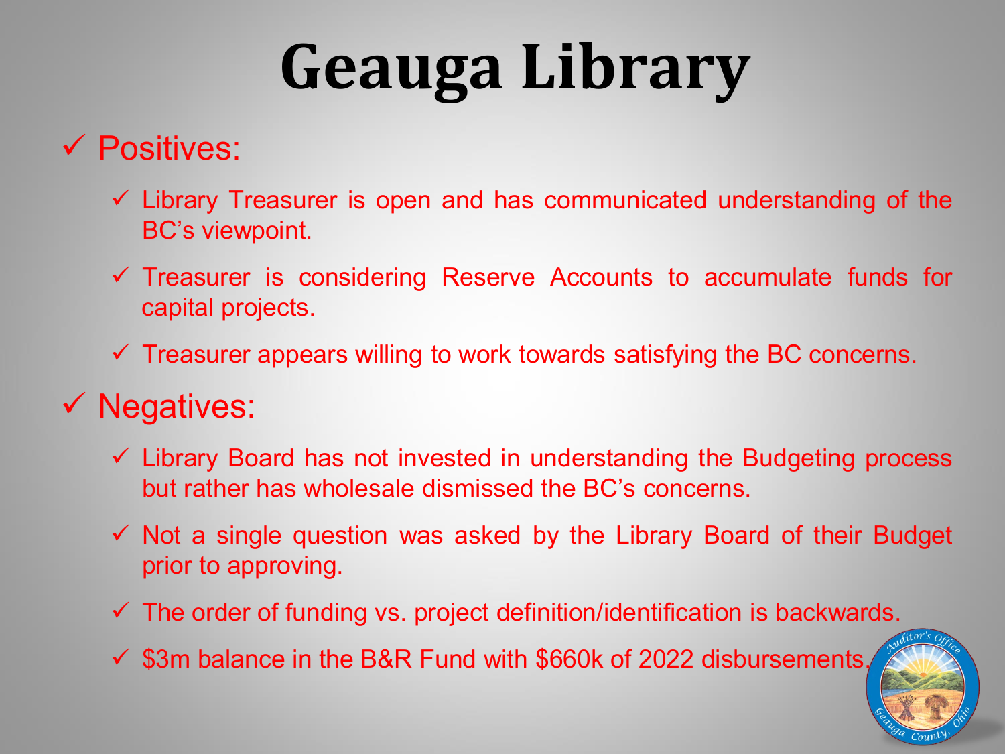# **Geauga Library**

# $\checkmark$  Positives:

- $\checkmark$  Library Treasurer is open and has communicated understanding of the BC's viewpoint.
- $\checkmark$  Treasurer is considering Reserve Accounts to accumulate funds for capital projects.
- $\checkmark$  Treasurer appears willing to work towards satisfying the BC concerns.

# $\checkmark$  Negatives:

- $\checkmark$  Library Board has not invested in understanding the Budgeting process but rather has wholesale dismissed the BC's concerns.
- $\checkmark$  Not a single question was asked by the Library Board of their Budget prior to approving.
- $\checkmark$  The order of funding vs. project definition/identification is backwards.
- $\checkmark$  \$3m balance in the B&R Fund with \$660k of 2022 disbursements.

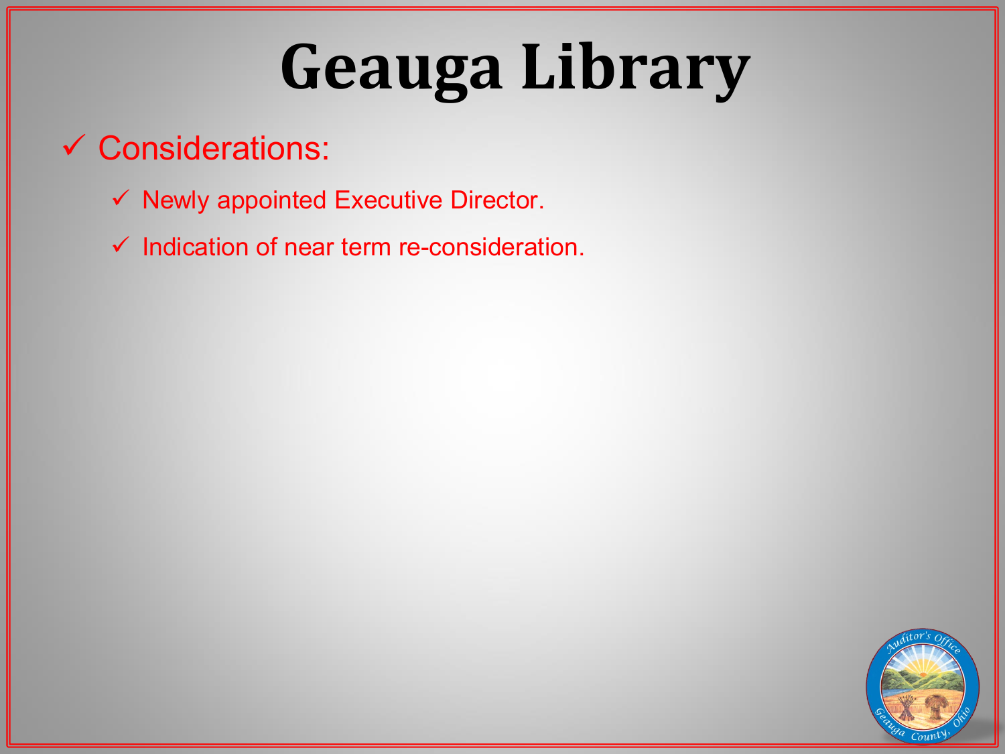# **Geauga Library**

# Considerations:

- $\checkmark$  Newly appointed Executive Director.
- $\checkmark$  Indication of near term re-consideration.